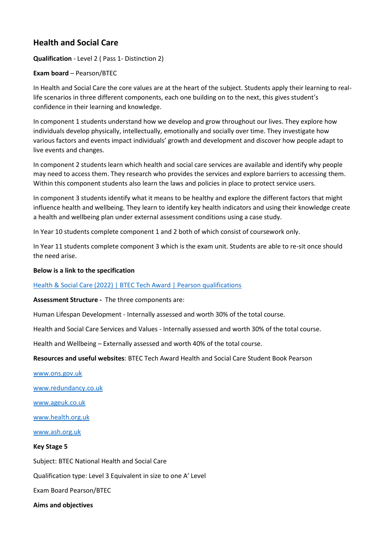# **Health and Social Care**

**Qualification** - Level 2 ( Pass 1- Distinction 2)

## **Exam board** – Pearson/BTEC

In Health and Social Care the core values are at the heart of the subject. Students apply their learning to reallife scenarios in three different components, each one building on to the next, this gives student's confidence in their learning and knowledge.

In component 1 students understand how we develop and grow throughout our lives. They explore how individuals develop physically, intellectually, emotionally and socially over time. They investigate how various factors and events impact individuals' growth and development and discover how people adapt to live events and changes.

In component 2 students learn which health and social care services are available and identify why people may need to access them. They research who provides the services and explore barriers to accessing them. Within this component students also learn the laws and policies in place to protect service users.

In component 3 students identify what it means to be healthy and explore the different factors that might influence health and wellbeing. They learn to identify key health indicators and using their knowledge create a health and wellbeing plan under external assessment conditions using a case study.

In Year 10 students complete component 1 and 2 both of which consist of coursework only.

In Year 11 students complete component 3 which is the exam unit. Students are able to re-sit once should the need arise.

## **Below is a link to the specification**

## [Health & Social Care \(2022\) | BTEC Tech Award | Pearson qualifications](https://qualifications.pearson.com/en/qualifications/btec-tech-awards/health-and-social-care-2022.html)

**Assessment Structure -** The three components are:

Human Lifespan Development - Internally assessed and worth 30% of the total course.

Health and Social Care Services and Values - Internally assessed and worth 30% of the total course.

Health and Wellbeing – Externally assessed and worth 40% of the total course.

**Resources and useful websites**: BTEC Tech Award Health and Social Care Student Book Pearson

[www.ons.gov.uk](http://www.ons.gov.uk/)

[www.redundancy.co.uk](http://www.redundancy.co.uk/)

[www.ageuk.co.uk](http://www.ageuk.co.uk/)

[www.health.org.uk](http://www.health.org.uk/)

[www.ash.org.uk](http://www.ash.org.uk/)

#### **Key Stage 5**

Subject: BTEC National Health and Social Care

Qualification type: Level 3 Equivalent in size to one A' Level

Exam Board Pearson/BTEC

**Aims and objectives**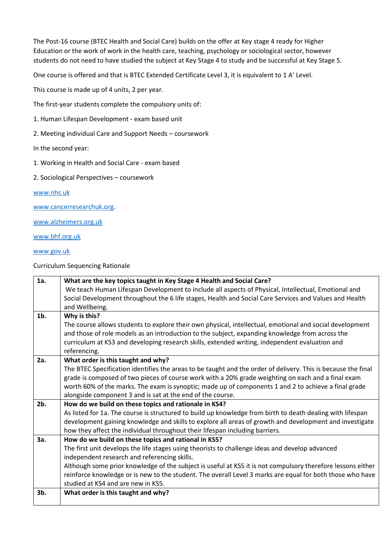The Post-16 course (BTEC Health and Social Care) builds on the offer at Key stage 4 ready for Higher Education or the work of work in the health care, teaching, psychology or sociological sector, however students do not need to have studied the subject at Key Stage 4 to study and be successful at Key Stage 5.

One course is offered and that is BTEC Extended Certificate Level 3, it is equivalent to 1 A' Level.

This course is made up of 4 units, 2 per year.

The first-year students complete the compulsory units of:

- 1. Human Lifespan Development exam based unit
- 2. Meeting individual Care and Support Needs coursework

#### In the second year:

- 1. Working in Health and Social Care exam based
- 2. Sociological Perspectives coursework

[www.nhs.uk](http://www.nhs.uk/)

[www.cancerresearchuk.org.](http://www.cancerresearchuk.org/)

[www.alzheimers.org.uk](http://www.alzheimers.org.uk/)

[www.bhf.org.uk](http://www.bhf.org.uk/)

[www.gov.uk](http://www.gov.uk/)

Curriculum Sequencing Rationale

| 1a.    | What are the key topics taught in Key Stage 4 Health and Social Care?                                         |
|--------|---------------------------------------------------------------------------------------------------------------|
|        | We teach Human Lifespan Development to include all aspects of Physical, Intellectual, Emotional and           |
|        | Social Development throughout the 6 life stages, Health and Social Care Services and Values and Health        |
|        | and Wellbeing.                                                                                                |
| $1b$ . | Why is this?                                                                                                  |
|        | The course allows students to explore their own physical, intellectual, emotional and social development      |
|        | and those of role models as an introduction to the subject, expanding knowledge from across the               |
|        | curriculum at KS3 and developing research skills, extended writing, independent evaluation and                |
|        | referencing.                                                                                                  |
| 2a.    | What order is this taught and why?                                                                            |
|        | The BTEC Specification identifies the areas to be taught and the order of delivery. This is because the final |
|        | grade is composed of two pieces of course work with a 20% grade weighting on each and a final exam            |
|        | worth 60% of the marks. The exam is synoptic; made up of components 1 and 2 to achieve a final grade          |
|        | alongside component 3 and is sat at the end of the course.                                                    |
| $2b$ . | How do we build on these topics and rationale in KS4?                                                         |
|        | As listed for 1a. The course is structured to build up knowledge from birth to death dealing with lifespan    |
|        | development gaining knowledge and skills to explore all areas of growth and development and investigate       |
|        | how they affect the individual throughout their lifespan including barriers.                                  |
| 3a.    | How do we build on these topics and rational in KS5?                                                          |
|        | The first unit develops the life stages using theorists to challenge ideas and develop advanced               |
|        | independent research and referencing skills.                                                                  |
|        | Although some prior knowledge of the subject is useful at KS5 it is not compulsory therefore lessons either   |
|        | reinforce knowledge or is new to the student. The overall Level 3 marks are equal for both those who have     |
|        | studied at KS4 and are new in KS5.                                                                            |
| 3b.    | What order is this taught and why?                                                                            |
|        |                                                                                                               |